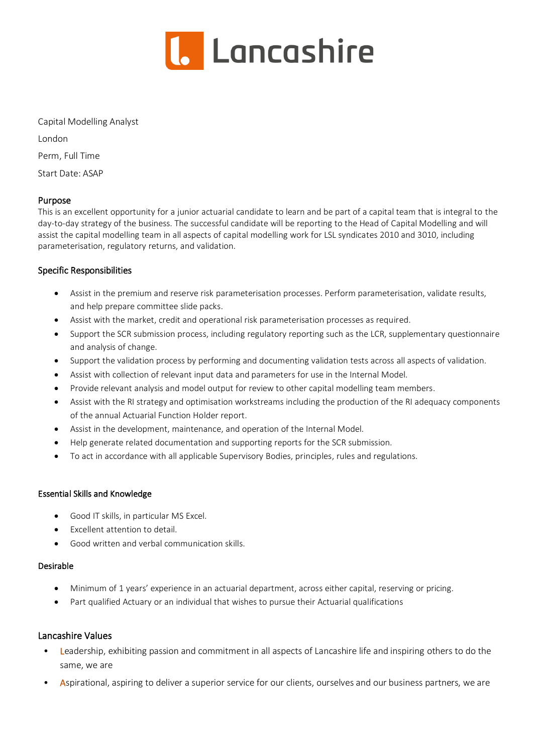

Capital Modelling Analyst London Perm, Full Time

Start Date: ASAP

### Purpose

This is an excellent opportunity for a junior actuarial candidate to learn and be part of a capital team that is integral to the day-to-day strategy of the business. The successful candidate will be reporting to the Head of Capital Modelling and will assist the capital modelling team in all aspects of capital modelling work for LSL syndicates 2010 and 3010, including parameterisation, regulatory returns, and validation.

## Specific Responsibilities

- Assist in the premium and reserve risk parameterisation processes. Perform parameterisation, validate results, and help prepare committee slide packs.
- Assist with the market, credit and operational risk parameterisation processes as required.
- Support the SCR submission process, including regulatory reporting such as the LCR, supplementary questionnaire and analysis of change.
- Support the validation process by performing and documenting validation tests across all aspects of validation.
- Assist with collection of relevant input data and parameters for use in the Internal Model.
- Provide relevant analysis and model output for review to other capital modelling team members.
- Assist with the RI strategy and optimisation workstreams including the production of the RI adequacy components of the annual Actuarial Function Holder report.
- Assist in the development, maintenance, and operation of the Internal Model.
- Help generate related documentation and supporting reports for the SCR submission.
- To act in accordance with all applicable Supervisory Bodies, principles, rules and regulations.

### Essential Skills and Knowledge

- Good IT skills, in particular MS Excel.
- Excellent attention to detail.
- Good written and verbal communication skills.

### Desirable

- Minimum of 1 years' experience in an actuarial department, across either capital, reserving or pricing.
- Part qualified Actuary or an individual that wishes to pursue their Actuarial qualifications

### Lancashire Values

- Leadership, exhibiting passion and commitment in all aspects of Lancashire life and inspiring others to do the same, we are
- Aspirational, aspiring to deliver a superior service for our clients, ourselves and our business partners, we are